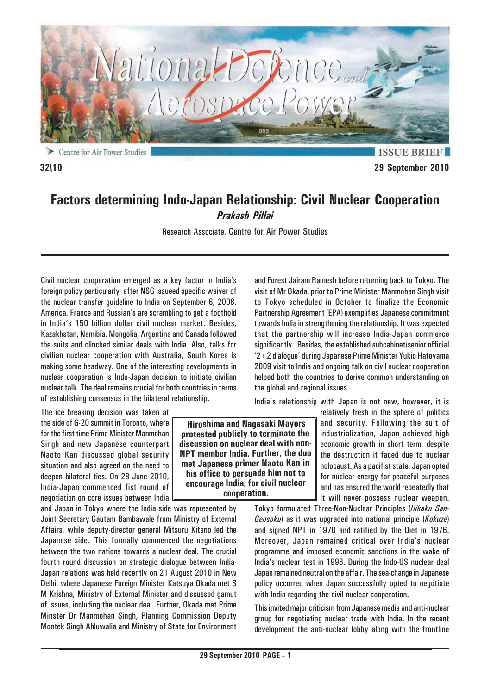

**32\10 29 September 2010**

# **Factors determining Indo-Japan Relationship: Civil Nuclear Cooperation** *Prakash Pillai*

Research Associate, Centre for Air Power Studies

Civil nuclear cooperation emerged as a key factor in India's foreign policy particularly after NSG issueed specific waiver of the nuclear transfer guideline to India on September 6, 2008. America, France and Russian's are scrambling to get a foothold in India's 150 billion dollar civil nuclear market. Besides, Kazakhstan, Namibia, Mongolia, Argentina and Canada followed the suits and clinched similar deals with India. Also, talks for civilian nuclear cooperation with Australia, South Korea is making some headway. One of the interesting developments in nuclear cooperation is Indo-Japan decision to initiate civilian nuclear talk. The deal remains crucial for both countries in terms of establishing consensus in the bilateral relationship.

The ice breaking decision was taken at the side of G-20 summit in Toronto, where for the first time Prime Minister Manmohan Singh and new Japanese counterpart Naoto Kan discussed global security situation and also agreed on the need to deepen bilateral ties. On 28 June 2010, India-Japan commenced fist round of negotiation on core issues between India

and Japan in Tokyo where the India side was represented by Joint Secretary Gautam Bambawale from Ministry of External Affairs, while deputy-director general Mitsuru Kitano led the Japanese side. This formally commenced the negotiations between the two nations towards a nuclear deal. The crucial fourth round discussion on strategic dialogue between India-Japan relations was held recently on 21 August 2010 in New Delhi, where Japanese Foreign Minister Katsuya Okada met S M Krishna, Ministry of External Minister and discussed gamut of issues, including the nuclear deal. Further, Okada met Prime Minster Dr Manmohan Singh, Planning Commission Deputy Montek Singh Ahluwalia and Ministry of State for Environment

and Forest Jairam Ramesh before returning back to Tokyo. The visit of Mr Okada, prior to Prime Minister Manmohan Singh visit to Tokyo scheduled in October to finalize the Economic Partnership Agreement (EPA) exemplifies Japanese commitment towards India in strengthening the relationship. It was expected that the partnership will increase India-Japan commerce significantly. Besides, the established subcabinet/senior official '2+2 dialogue' during Japanese Prime Minister Yukio Hatoyama 2009 visit to India and ongoing talk on civil nuclear cooperation helped both the countries to derive common understanding on the global and regional issues.

India's relationship with Japan is not new, however, it is

relatively fresh in the sphere of politics and security. Following the suit of industrialization, Japan achieved high economic growth in short term, despite the destruction it faced due to nuclear holocaust. As a pacifist state, Japan opted for nuclear energy for peaceful purposes and has ensured the world repeatedly that it will never possess nuclear weapon.

Tokyo formulated Three-Non-Nuclear Principles (*Hikaku San-Gensoku*) as it was upgraded into national principle (*Kokuze*) and signed NPT in 1970 and ratified by the Diet in 1976. Moreover, Japan remained critical over India's nuclear programme and imposed economic sanctions in the wake of India's nuclear test in 1998. During the Indo-US nuclear deal Japan remained neutral on the affair. The sea-change in Japanese policy occurred when Japan successfully opted to negotiate with India regarding the civil nuclear cooperation.

This invited major criticism from Japanese media and anti-nuclear group for negotiating nuclear trade with India. In the recent development the anti-nuclear lobby along with the frontline

 **Hiroshima and Nagasaki Mayors protested publicly to terminate the discussion on nuclear deal with non-NPT member India. Further, the duo met Japanese primer Naoto Kan in his office to persuade him not to encourage India, for civil nuclear cooperation.**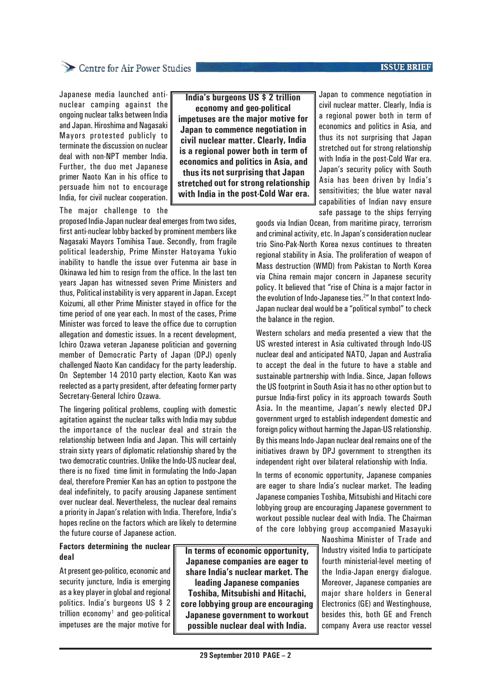#### **ISSUE BRIEF**

### Centre for Air Power Studies

Japanese media launched antinuclear camping against the ongoing nuclear talks between India and Japan. Hiroshima and Nagasaki Mayors protested publicly to terminate the discussion on nuclear deal with non-NPT member India. Further, the duo met Japanese primer Naoto Kan in his office to persuade him not to encourage India, for civil nuclear cooperation.

The major challenge to the

proposed India-Japan nuclear deal emerges from two sides, first anti-nuclear lobby backed by prominent members like Nagasaki Mayors Tomihisa Taue. Secondly, from fragile political leadership, Prime Minster Hatoyama Yukio inability to handle the issue over Futenma air base in Okinawa led him to resign from the office. In the last ten years Japan has witnessed seven Prime Ministers and thus, Political instability is very apparent in Japan. Except Koizumi, all other Prime Minister stayed in office for the time period of one year each. In most of the cases, Prime Minister was forced to leave the office due to corruption allegation and domestic issues. In a recent development, Ichiro Ozawa veteran Japanese politician and governing member of Democratic Party of Japan (DPJ) openly challenged Naoto Kan candidacy for the party leadership. On September 14 2010 party election, Kaoto Kan was reelected as a party president, after defeating former party Secretary-General Ichiro Ozawa.

The lingering political problems, coupling with domestic agitation against the nuclear talks with India may subdue the importance of the nuclear deal and strain the relationship between India and Japan. This will certainly strain sixty years of diplomatic relationship shared by the two democratic countries. Unlike the Indo-US nuclear deal, there is no fixed time limit in formulating the Indo-Japan deal, therefore Premier Kan has an option to postpone the deal indefinitely, to pacify arousing Japanese sentiment over nuclear deal. Nevertheless, the nuclear deal remains a priority in Japan's relation with India. Therefore, India's hopes recline on the factors which are likely to determine the future course of Japanese action.

### **Factors determining the nuclear deal**

At present geo-politico, economic and security juncture, India is emerging as a key player in global and regional politics. India's burgeons US \$ 2 trillion economy<sup>1</sup> and geo-political impetuses are the major motive for

**In terms of economic opportunity, Japanese companies are eager to share India's nuclear market. The leading Japanese companies Toshiba, Mitsubishi and Hitachi, core lobbying group are encouraging Japanese government to workout possible nuclear deal with India.**

**India's burgeons US \$ 2 trillion economy and geo-political impetuses are the major motive for Japan to commence negotiation in civil nuclear matter. Clearly, India is a regional power both in term of economics and politics in Asia, and thus its not surprising that Japan stretched out for strong relationship with India in the post-Cold War era.** Japan to commence negotiation in civil nuclear matter. Clearly, India is a regional power both in term of economics and politics in Asia, and thus its not surprising that Japan stretched out for strong relationship with India in the post-Cold War era. Japan's security policy with South Asia has been driven by India's sensitivities; the blue water naval capabilities of Indian navy ensure safe passage to the ships ferrying

goods via Indian Ocean, from maritime piracy, terrorism and criminal activity, etc. In Japan's consideration nuclear trio Sino-Pak-North Korea nexus continues to threaten regional stability in Asia. The proliferation of weapon of Mass destruction (WMD) from Pakistan to North Korea via China remain major concern in Japanese security policy. It believed that "rise of China is a major factor in the evolution of Indo-Japanese ties.<sup>2"</sup> In that context Indo-Japan nuclear deal would be a "political symbol" to check the balance in the region.

Western scholars and media presented a view that the US wrested interest in Asia cultivated through Indo-US nuclear deal and anticipated NATO, Japan and Australia to accept the deal in the future to have a stable and sustainable partnership with India. Since, Japan follows the US footprint in South Asia it has no other option but to pursue India-first policy in its approach towards South Asia**.** In the meantime, Japan's newly elected DPJ government urged to establish independent domestic and foreign policy without harming the Japan-US relationship. By this means Indo-Japan nuclear deal remains one of the initiatives drawn by DPJ government to strengthen its independent right over bilateral relationship with India.

In terms of economic opportunity, Japanese companies are eager to share India's nuclear market. The leading Japanese companies Toshiba, Mitsubishi and Hitachi core lobbying group are encouraging Japanese government to workout possible nuclear deal with India. The Chairman of the core lobbying group accompanied Masayuki

> Naoshima Minister of Trade and Industry visited India to participate fourth ministerial-level meeting of the India-Japan energy dialogue. Moreover, Japanese companies are major share holders in General Electronics (GE) and Westinghouse, besides this, both GE and French company Avera use reactor vessel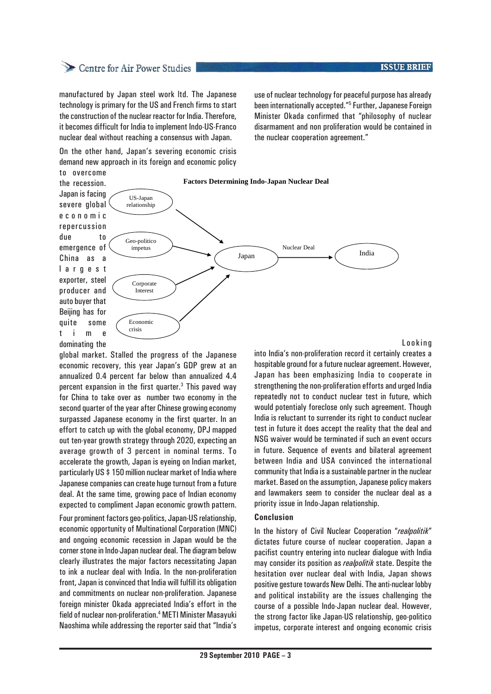## Centre for Air Power Studies

manufactured by Japan steel work ltd. The Japanese technology is primary for the US and French firms to start the construction of the nuclear reactor for India. Therefore, it becomes difficult for India to implement Indo-US-Franco nuclear deal without reaching a consensus with Japan.

use of nuclear technology for peaceful purpose has already been internationally accepted."<sup>5</sup> Further, Japanese Foreign Minister Okada confirmed that "philosophy of nuclear disarmament and non proliferation would be contained in the nuclear cooperation agreement."

On the other hand, Japan's severing economic crisis demand new approach in its foreign and economic policy



#### Looking

dominating the global market. Stalled the progress of the Japanese economic recovery, this year Japan's GDP grew at an annualized 0.4 percent far below than annualized 4.4 percent expansion in the first quarter.<sup>3</sup> This paved way for China to take over as number two economy in the second quarter of the year after Chinese growing economy surpassed Japanese economy in the first quarter. In an effort to catch up with the global economy, DPJ mapped out ten-year growth strategy through 2020, expecting an average growth of 3 percent in nominal terms. To accelerate the growth, Japan is eyeing on Indian market, particularly US \$ 150 million nuclear market of India where Japanese companies can create huge turnout from a future deal. At the same time, growing pace of Indian economy expected to compliment Japan economic growth pattern.

Four prominent factors geo-politics, Japan-US relationship, economic opportunity of Multinational Corporation (MNC) and ongoing economic recession in Japan would be the corner stone in Indo-Japan nuclear deal. The diagram below clearly illustrates the major factors necessitating Japan to ink a nuclear deal with India. In the non-proliferation front, Japan is convinced that India will fulfill its obligation and commitments on nuclear non-proliferation. Japanese foreign minister Okada appreciated India's effort in the field of nuclear non-proliferation.<sup>4</sup> METI Minister Masayuki Naoshima while addressing the reporter said that "India's

into India's non-proliferation record it certainly creates a hospitable ground for a future nuclear agreement. However, Japan has been emphasizing India to cooperate in strengthening the non-proliferation efforts and urged India repeatedly not to conduct nuclear test in future, which would potentialy foreclose only such agreement. Though India is reluctant to surrender its right to conduct nuclear test in future it does accept the reality that the deal and NSG waiver would be terminated if such an event occurs in future. Sequence of events and bilateral agreement between India and USA convinced the international community that India is a sustainable partner in the nuclear market. Based on the assumption, Japanese policy makers and lawmakers seem to consider the nuclear deal as a priority issue in Indo-Japan relationship.

#### **Conclusion**

In the history of Civil Nuclear Cooperation "*realpolitik*" dictates future course of nuclear cooperation. Japan a pacifist country entering into nuclear dialogue with India may consider its position as *realpolitik* state. Despite the hesitation over nuclear deal with India, Japan shows positive gesture towards New Delhi. The anti-nuclear lobby and political instability are the issues challenging the course of a possible Indo-Japan nuclear deal. However, the strong factor like Japan-US relationship, geo-politico impetus, corporate interest and ongoing economic crisis

#### **ISSUE BRIEF**